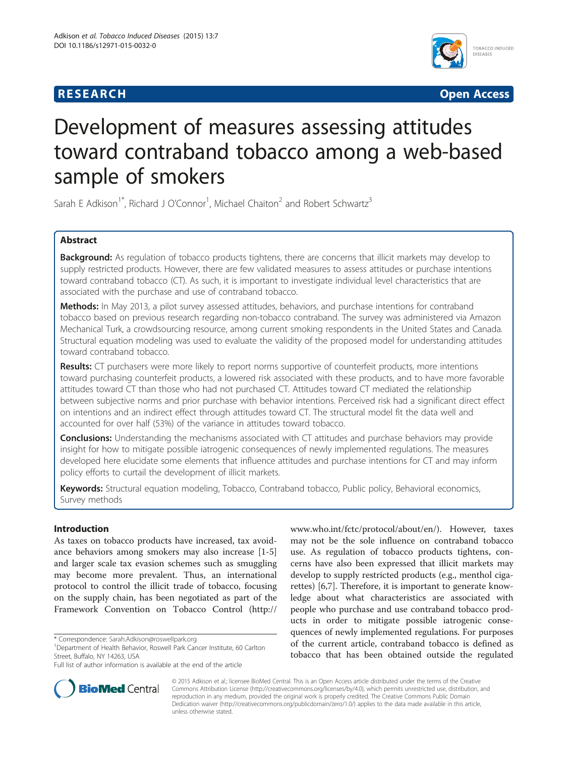



# Development of measures assessing attitudes toward contraband tobacco among a web-based sample of smokers

Sarah E Adkison<sup>1\*</sup>, Richard J O'Connor<sup>1</sup>, Michael Chaiton<sup>2</sup> and Robert Schwartz<sup>3</sup>

# Abstract

Background: As regulation of tobacco products tightens, there are concerns that illicit markets may develop to supply restricted products. However, there are few validated measures to assess attitudes or purchase intentions toward contraband tobacco (CT). As such, it is important to investigate individual level characteristics that are associated with the purchase and use of contraband tobacco.

Methods: In May 2013, a pilot survey assessed attitudes, behaviors, and purchase intentions for contraband tobacco based on previous research regarding non-tobacco contraband. The survey was administered via Amazon Mechanical Turk, a crowdsourcing resource, among current smoking respondents in the United States and Canada. Structural equation modeling was used to evaluate the validity of the proposed model for understanding attitudes toward contraband tobacco.

Results: CT purchasers were more likely to report norms supportive of counterfeit products, more intentions toward purchasing counterfeit products, a lowered risk associated with these products, and to have more favorable attitudes toward CT than those who had not purchased CT. Attitudes toward CT mediated the relationship between subjective norms and prior purchase with behavior intentions. Perceived risk had a significant direct effect on intentions and an indirect effect through attitudes toward CT. The structural model fit the data well and accounted for over half (53%) of the variance in attitudes toward tobacco.

**Conclusions:** Understanding the mechanisms associated with CT attitudes and purchase behaviors may provide insight for how to mitigate possible iatrogenic consequences of newly implemented regulations. The measures developed here elucidate some elements that influence attitudes and purchase intentions for CT and may inform policy efforts to curtail the development of illicit markets.

Keywords: Structural equation modeling, Tobacco, Contraband tobacco, Public policy, Behavioral economics, Survey methods

# Introduction

As taxes on tobacco products have increased, tax avoidance behaviors among smokers may also increase [[1-5](#page-8-0)] and larger scale tax evasion schemes such as smuggling may become more prevalent. Thus, an international protocol to control the illicit trade of tobacco, focusing on the supply chain, has been negotiated as part of the Framework Convention on Tobacco Control [\(http://](http://www.who.int/fctc/protocol/about/en/)

[www.who.int/fctc/protocol/about/en/\)](http://www.who.int/fctc/protocol/about/en/). However, taxes may not be the sole influence on contraband tobacco use. As regulation of tobacco products tightens, concerns have also been expressed that illicit markets may develop to supply restricted products (e.g., menthol cigarettes) [[6,7\]](#page-8-0). Therefore, it is important to generate knowledge about what characteristics are associated with people who purchase and use contraband tobacco products in order to mitigate possible iatrogenic consequences of newly implemented regulations. For purposes of the current article, contraband tobacco is defined as tobacco that has been obtained outside the regulated



© 2015 Adkison et al.; licensee BioMed Central. This is an Open Access article distributed under the terms of the Creative Commons Attribution License [\(http://creativecommons.org/licenses/by/4.0\)](http://creativecommons.org/licenses/by/4.0), which permits unrestricted use, distribution, and reproduction in any medium, provided the original work is properly credited. The Creative Commons Public Domain Dedication waiver [\(http://creativecommons.org/publicdomain/zero/1.0/](http://creativecommons.org/publicdomain/zero/1.0/)) applies to the data made available in this article, unless otherwise stated.

<sup>\*</sup> Correspondence: [Sarah.Adkison@roswellpark.org](mailto:Sarah.Adkison@roswellpark.org) <sup>1</sup>

<sup>&</sup>lt;sup>1</sup>Department of Health Behavior, Roswell Park Cancer Institute, 60 Carlton Street, Buffalo, NY 14263, USA

Full list of author information is available at the end of the article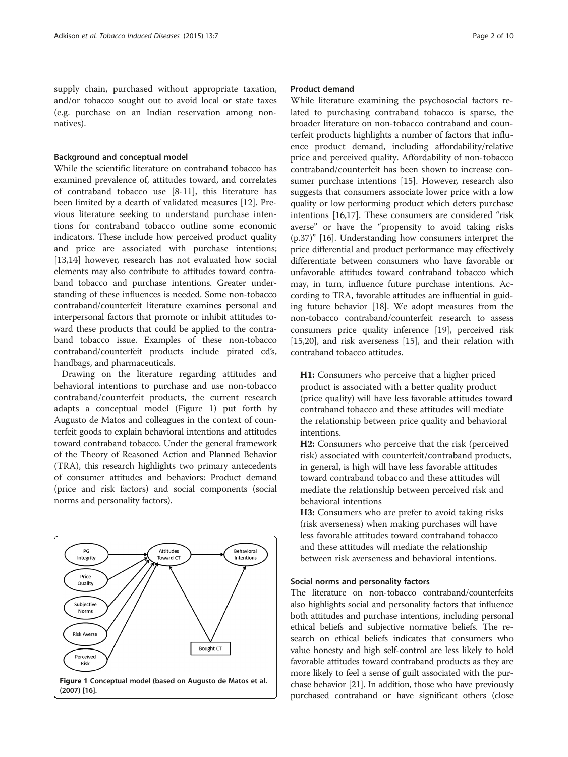supply chain, purchased without appropriate taxation, and/or tobacco sought out to avoid local or state taxes (e.g. purchase on an Indian reservation among nonnatives).

## Background and conceptual model

While the scientific literature on contraband tobacco has examined prevalence of, attitudes toward, and correlates of contraband tobacco use [\[8](#page-8-0)-[11\]](#page-8-0), this literature has been limited by a dearth of validated measures [\[12\]](#page-8-0). Previous literature seeking to understand purchase intentions for contraband tobacco outline some economic indicators. These include how perceived product quality and price are associated with purchase intentions; [[13,14\]](#page-8-0) however, research has not evaluated how social elements may also contribute to attitudes toward contraband tobacco and purchase intentions. Greater understanding of these influences is needed. Some non-tobacco contraband/counterfeit literature examines personal and interpersonal factors that promote or inhibit attitudes toward these products that could be applied to the contraband tobacco issue. Examples of these non-tobacco contraband/counterfeit products include pirated cd's, handbags, and pharmaceuticals.

Drawing on the literature regarding attitudes and behavioral intentions to purchase and use non-tobacco contraband/counterfeit products, the current research adapts a conceptual model (Figure 1) put forth by Augusto de Matos and colleagues in the context of counterfeit goods to explain behavioral intentions and attitudes toward contraband tobacco. Under the general framework of the Theory of Reasoned Action and Planned Behavior (TRA), this research highlights two primary antecedents of consumer attitudes and behaviors: Product demand (price and risk factors) and social components (social norms and personality factors).



## Product demand

While literature examining the psychosocial factors related to purchasing contraband tobacco is sparse, the broader literature on non-tobacco contraband and counterfeit products highlights a number of factors that influence product demand, including affordability/relative price and perceived quality. Affordability of non-tobacco contraband/counterfeit has been shown to increase consumer purchase intentions [\[15](#page-8-0)]. However, research also suggests that consumers associate lower price with a low quality or low performing product which deters purchase intentions [[16,17](#page-8-0)]. These consumers are considered "risk averse" or have the "propensity to avoid taking risks (p.37)" [\[16\]](#page-8-0). Understanding how consumers interpret the price differential and product performance may effectively differentiate between consumers who have favorable or unfavorable attitudes toward contraband tobacco which may, in turn, influence future purchase intentions. According to TRA, favorable attitudes are influential in guiding future behavior [\[18\]](#page-8-0). We adopt measures from the non-tobacco contraband/counterfeit research to assess consumers price quality inference [\[19\]](#page-8-0), perceived risk [[15](#page-8-0),[20](#page-8-0)], and risk averseness [\[15\]](#page-8-0), and their relation with contraband tobacco attitudes.

H1: Consumers who perceive that a higher priced product is associated with a better quality product (price quality) will have less favorable attitudes toward contraband tobacco and these attitudes will mediate the relationship between price quality and behavioral intentions.

H2: Consumers who perceive that the risk (perceived risk) associated with counterfeit/contraband products, in general, is high will have less favorable attitudes toward contraband tobacco and these attitudes will mediate the relationship between perceived risk and behavioral intentions

H3: Consumers who are prefer to avoid taking risks (risk averseness) when making purchases will have less favorable attitudes toward contraband tobacco and these attitudes will mediate the relationship between risk averseness and behavioral intentions.

## Social norms and personality factors

The literature on non-tobacco contraband/counterfeits also highlights social and personality factors that influence both attitudes and purchase intentions, including personal ethical beliefs and subjective normative beliefs. The research on ethical beliefs indicates that consumers who value honesty and high self-control are less likely to hold favorable attitudes toward contraband products as they are more likely to feel a sense of guilt associated with the purchase behavior [[21](#page-8-0)]. In addition, those who have previously purchased contraband or have significant others (close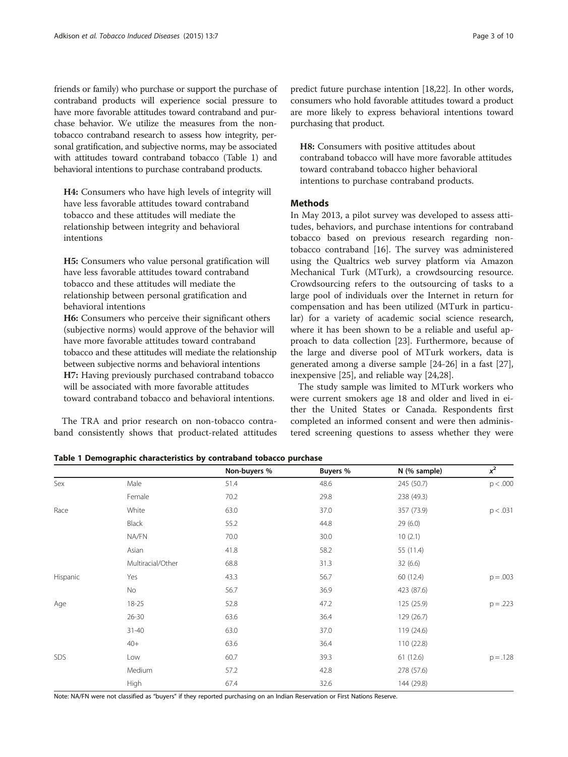<span id="page-2-0"></span>friends or family) who purchase or support the purchase of contraband products will experience social pressure to have more favorable attitudes toward contraband and purchase behavior. We utilize the measures from the nontobacco contraband research to assess how integrity, personal gratification, and subjective norms, may be associated with attitudes toward contraband tobacco (Table 1) and behavioral intentions to purchase contraband products.

H4: Consumers who have high levels of integrity will have less favorable attitudes toward contraband tobacco and these attitudes will mediate the relationship between integrity and behavioral intentions

H5: Consumers who value personal gratification will have less favorable attitudes toward contraband tobacco and these attitudes will mediate the relationship between personal gratification and behavioral intentions

H6: Consumers who perceive their significant others (subjective norms) would approve of the behavior will have more favorable attitudes toward contraband tobacco and these attitudes will mediate the relationship between subjective norms and behavioral intentions H7: Having previously purchased contraband tobacco will be associated with more favorable attitudes toward contraband tobacco and behavioral intentions.

The TRA and prior research on non-tobacco contraband consistently shows that product-related attitudes

predict future purchase intention [[18,22](#page-8-0)]. In other words, consumers who hold favorable attitudes toward a product are more likely to express behavioral intentions toward purchasing that product.

H8: Consumers with positive attitudes about contraband tobacco will have more favorable attitudes toward contraband tobacco higher behavioral intentions to purchase contraband products.

## **Methods**

In May 2013, a pilot survey was developed to assess attitudes, behaviors, and purchase intentions for contraband tobacco based on previous research regarding nontobacco contraband [[16\]](#page-8-0). The survey was administered using the Qualtrics web survey platform via Amazon Mechanical Turk (MTurk), a crowdsourcing resource. Crowdsourcing refers to the outsourcing of tasks to a large pool of individuals over the Internet in return for compensation and has been utilized (MTurk in particular) for a variety of academic social science research, where it has been shown to be a reliable and useful approach to data collection [\[23](#page-8-0)]. Furthermore, because of the large and diverse pool of MTurk workers, data is generated among a diverse sample [[24-26\]](#page-8-0) in a fast [\[27](#page-8-0)], inexpensive [\[25](#page-8-0)], and reliable way [[24](#page-8-0),[28](#page-8-0)].

The study sample was limited to MTurk workers who were current smokers age 18 and older and lived in either the United States or Canada. Respondents first completed an informed consent and were then administered screening questions to assess whether they were

Table 1 Demographic characteristics by contraband tobacco purchase

|          |                   | Non-buyers % | <b>Buyers %</b> | N (% sample) | $x^2$      |
|----------|-------------------|--------------|-----------------|--------------|------------|
| Sex      | Male              | 51.4         | 48.6            | 245 (50.7)   | p < .000   |
|          | Female            | 70.2         | 29.8            | 238 (49.3)   |            |
| Race     | White             | 63.0         | 37.0            | 357 (73.9)   | p < .031   |
|          | Black             | 55.2         | 44.8            | 29(6.0)      |            |
|          | NA/FN             | 70.0         | 30.0            | 10(2.1)      |            |
|          | Asian             | 41.8         | 58.2            | 55 (11.4)    |            |
|          | Multiracial/Other | 68.8         | 31.3            | 32(6.6)      |            |
| Hispanic | Yes               | 43.3         | 56.7            | 60 (12.4)    | $p = .003$ |
|          | No                | 56.7         | 36.9            | 423 (87.6)   |            |
| Age      | $18 - 25$         | 52.8         | 47.2            | 125 (25.9)   | $p = .223$ |
|          | $26 - 30$         | 63.6         | 36.4            | 129(26.7)    |            |
|          | $31 - 40$         | 63.0         | 37.0            | 119 (24.6)   |            |
|          | $40+$             | 63.6         | 36.4            | 110 (22.8)   |            |
| SDS      | Low               | 60.7         | 39.3            | 61(12.6)     | $p = .128$ |
|          | Medium            | 57.2         | 42.8            | 278 (57.6)   |            |
|          | High              | 67.4         | 32.6            | 144 (29.8)   |            |

Note: NA/FN were not classified as "buyers" if they reported purchasing on an Indian Reservation or First Nations Reserve.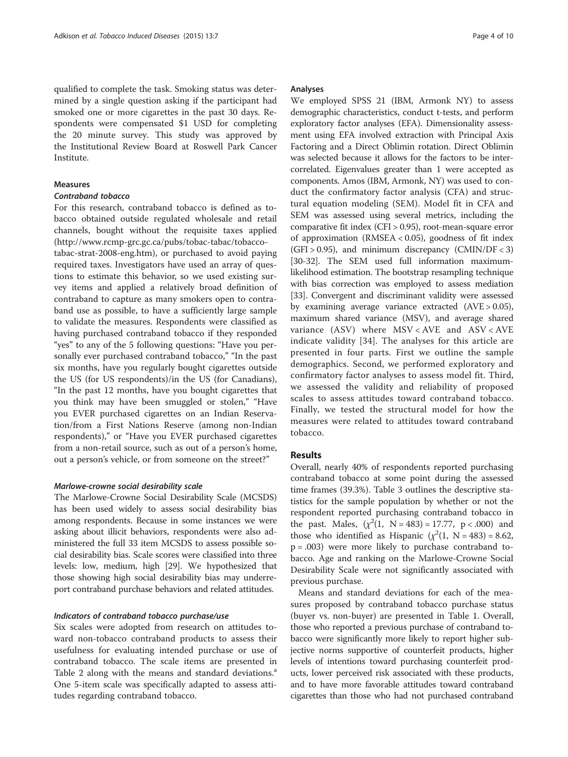qualified to complete the task. Smoking status was determined by a single question asking if the participant had smoked one or more cigarettes in the past 30 days. Respondents were compensated \$1 USD for completing the 20 minute survey. This study was approved by the Institutional Review Board at Roswell Park Cancer Institute.

#### Measures

#### Contraband tobacco

For this research, contraband tobacco is defined as tobacco obtained outside regulated wholesale and retail channels, bought without the requisite taxes applied ([http://www.rcmp-grc.gc.ca/pubs/tobac-tabac/tobacco-](http://www.rcmp-grc.gc.ca/pubs/tobac-tabac/tobacco-tabac-strat-2008-eng.htm)

[tabac-strat-2008-eng.htm\)](http://www.rcmp-grc.gc.ca/pubs/tobac-tabac/tobacco-tabac-strat-2008-eng.htm), or purchased to avoid paying required taxes. Investigators have used an array of questions to estimate this behavior, so we used existing survey items and applied a relatively broad definition of contraband to capture as many smokers open to contraband use as possible, to have a sufficiently large sample to validate the measures. Respondents were classified as having purchased contraband tobacco if they responded "yes" to any of the 5 following questions: "Have you personally ever purchased contraband tobacco," "In the past six months, have you regularly bought cigarettes outside the US (for US respondents)/in the US (for Canadians), "In the past 12 months, have you bought cigarettes that you think may have been smuggled or stolen," "Have you EVER purchased cigarettes on an Indian Reservation/from a First Nations Reserve (among non-Indian respondents)," or "Have you EVER purchased cigarettes from a non-retail source, such as out of a person's home, out a person's vehicle, or from someone on the street?"

#### Marlowe-crowne social desirability scale

The Marlowe-Crowne Social Desirability Scale (MCSDS) has been used widely to assess social desirability bias among respondents. Because in some instances we were asking about illicit behaviors, respondents were also administered the full 33 item MCSDS to assess possible social desirability bias. Scale scores were classified into three levels: low, medium, high [\[29\]](#page-8-0). We hypothesized that those showing high social desirability bias may underreport contraband purchase behaviors and related attitudes.

# Indicators of contraband tobacco purchase/use

Six scales were adopted from research on attitudes toward non-tobacco contraband products to assess their usefulness for evaluating intended purchase or use of contraband tobacco. The scale items are presented in Table [2](#page-4-0) along with the means and standard deviations.<sup>a</sup> One 5-item scale was specifically adapted to assess attitudes regarding contraband tobacco.

## Analyses

We employed SPSS 21 (IBM, Armonk NY) to assess demographic characteristics, conduct t-tests, and perform exploratory factor analyses (EFA). Dimensionality assessment using EFA involved extraction with Principal Axis Factoring and a Direct Oblimin rotation. Direct Oblimin was selected because it allows for the factors to be intercorrelated. Eigenvalues greater than 1 were accepted as components. Amos (IBM, Armonk, NY) was used to conduct the confirmatory factor analysis (CFA) and structural equation modeling (SEM). Model fit in CFA and SEM was assessed using several metrics, including the comparative fit index (CFI > 0.95), root-mean-square error of approximation (RMSEA < 0.05), goodness of fit index  $(GFI > 0.95)$ , and minimum discrepancy  $(CMIN/DF < 3)$ [[30](#page-8-0)-[32\]](#page-8-0). The SEM used full information maximumlikelihood estimation. The bootstrap resampling technique with bias correction was employed to assess mediation [[33](#page-8-0)]. Convergent and discriminant validity were assessed by examining average variance extracted  $(AVE > 0.05)$ , maximum shared variance (MSV), and average shared variance (ASV) where MSV < AVE and ASV < AVE indicate validity [\[34\]](#page-8-0). The analyses for this article are presented in four parts. First we outline the sample demographics. Second, we performed exploratory and confirmatory factor analyses to assess model fit. Third, we assessed the validity and reliability of proposed scales to assess attitudes toward contraband tobacco. Finally, we tested the structural model for how the measures were related to attitudes toward contraband tobacco.

# Results

Overall, nearly 40% of respondents reported purchasing contraband tobacco at some point during the assessed time frames (39.3%). Table [3](#page-5-0) outlines the descriptive statistics for the sample population by whether or not the respondent reported purchasing contraband tobacco in the past. Males,  $(\chi^2(1, N = 483) = 17.77, p < .000)$  and those who identified as Hispanic  $(\chi^2(1, N = 483) = 8.62,$ p = .003) were more likely to purchase contraband tobacco. Age and ranking on the Marlowe-Crowne Social Desirability Scale were not significantly associated with previous purchase.

Means and standard deviations for each of the measures proposed by contraband tobacco purchase status (buyer vs. non-buyer) are presented in Table [1.](#page-2-0) Overall, those who reported a previous purchase of contraband tobacco were significantly more likely to report higher subjective norms supportive of counterfeit products, higher levels of intentions toward purchasing counterfeit products, lower perceived risk associated with these products, and to have more favorable attitudes toward contraband cigarettes than those who had not purchased contraband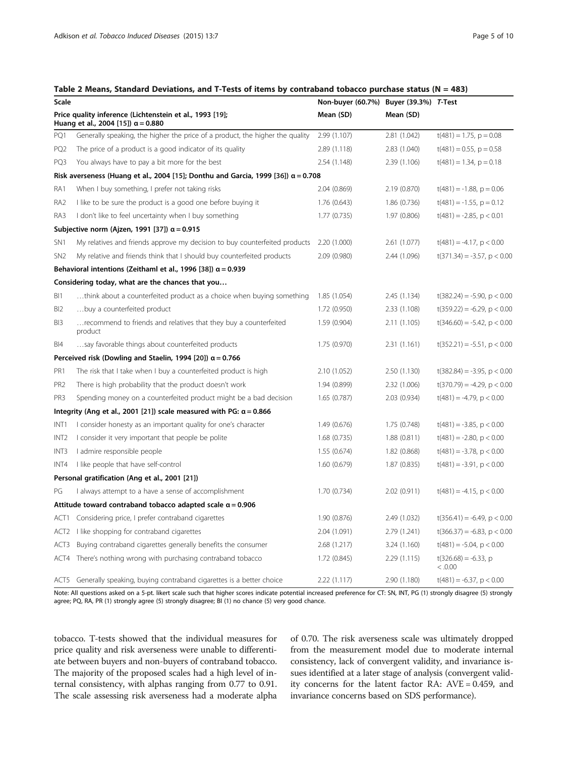## <span id="page-4-0"></span>Table 2 Means, Standard Deviations, and T-Tests of items by contraband tobacco purchase status (N = 483)

| Scale            |                                                                                                       | Non-buyer (60.7%) Buyer (39.3%) T-Test |              |                                   |
|------------------|-------------------------------------------------------------------------------------------------------|----------------------------------------|--------------|-----------------------------------|
|                  | Price quality inference (Lichtenstein et al., 1993 [19];<br>Huang et al., 2004 [15]) $\alpha$ = 0.880 | Mean (SD)                              | Mean (SD)    |                                   |
| PQ1              | Generally speaking, the higher the price of a product, the higher the quality                         | 2.99 (1.107)                           | 2.81 (1.042) | $t(481) = 1.75$ , $p = 0.08$      |
| PQ <sub>2</sub>  | The price of a product is a good indicator of its quality                                             | 2.89 (1.118)                           | 2.83 (1.040) | $t(481) = 0.55$ , $p = 0.58$      |
| PQ3              | You always have to pay a bit more for the best                                                        | 2.54 (1.148)                           | 2.39 (1.106) | $t(481) = 1.34$ , $p = 0.18$      |
|                  | Risk averseness (Huang et al., 2004 [15]; Donthu and Garcia, 1999 [36]) $\alpha$ = 0.708              |                                        |              |                                   |
| RA1              | When I buy something, I prefer not taking risks                                                       | 2.04 (0.869)                           | 2.19 (0.870) | $t(481) = -1.88$ , $p = 0.06$     |
| RA <sub>2</sub>  | I like to be sure the product is a good one before buying it                                          | 1.76(0.643)                            | 1.86(0.736)  | $t(481) = -1.55$ , p = 0.12       |
| RA3              | I don't like to feel uncertainty when I buy something                                                 | 1.77(0.735)                            | 1.97 (0.806) | $t(481) = -2.85$ , $p < 0.01$     |
|                  | Subjective norm (Ajzen, 1991 [37]) $\alpha$ = 0.915                                                   |                                        |              |                                   |
| SN <sub>1</sub>  | My relatives and friends approve my decision to buy counterfeited products                            | 2.20 (1.000)                           | 2.61 (1.077) | $t(481) = -4.17$ , $p < 0.00$     |
| SN <sub>2</sub>  | My relative and friends think that I should buy counterfeited products                                | 2.09 (0.980)                           | 2.44 (1.096) | $t(371.34) = -3.57$ , p < 0.00    |
|                  | Behavioral intentions (Zeithaml et al., 1996 [38]) $\alpha$ = 0.939                                   |                                        |              |                                   |
|                  | Considering today, what are the chances that you                                                      |                                        |              |                                   |
| BI1              | think about a counterfeited product as a choice when buying something                                 | 1.85 (1.054)                           | 2.45 (1.134) | $t(382.24) = -5.90$ , $p < 0.00$  |
| BI <sub>2</sub>  | buy a counterfeited product                                                                           | 1.72 (0.950)                           | 2.33(1.108)  | $t(359.22) = -6.29$ , $p < 0.00$  |
| BI3              | recommend to friends and relatives that they buy a counterfeited<br>product                           | 1.59 (0.904)                           | 2.11(1.105)  | $t(346.60) = -5.42$ , $p < 0.00$  |
| BI4              | say favorable things about counterfeited products                                                     | 1.75(0.970)                            | 2.31 (1.161) | $t(352.21) = -5.51$ , $p < 0.00$  |
|                  | Perceived risk (Dowling and Staelin, 1994 [20]) $\alpha$ = 0.766                                      |                                        |              |                                   |
| PR1              | The risk that I take when I buy a counterfeited product is high                                       | 2.10 (1.052)                           | 2.50 (1.130) | $t(382.84) = -3.95$ , $p < 0.00$  |
| PR <sub>2</sub>  | There is high probability that the product doesn't work                                               | 1.94 (0.899)                           | 2.32(1.006)  | $t(370.79) = -4.29$ , $p < 0.00$  |
| PR <sub>3</sub>  | Spending money on a counterfeited product might be a bad decision                                     | 1.65(0.787)                            | 2.03 (0.934) | $t(481) = -4.79$ , $p < 0.00$     |
|                  | Integrity (Ang et al., 2001 [21]) scale measured with PG: $\alpha$ = 0.866                            |                                        |              |                                   |
| INT <sub>1</sub> | I consider honesty as an important quality for one's character                                        | 1.49 (0.676)                           | 1.75 (0.748) | $t(481) = -3.85$ , $p < 0.00$     |
| INT <sub>2</sub> | I consider it very important that people be polite                                                    | 1.68(0.735)                            | 1.88(0.811)  | $t(481) = -2.80, p < 0.00$        |
| INT <sub>3</sub> | I admire responsible people                                                                           | 1.55 (0.674)                           | 1.82 (0.868) | $t(481) = -3.78$ , $p < 0.00$     |
| INT4             | I like people that have self-control                                                                  | 1.60(0.679)                            | 1.87(0.835)  | $t(481) = -3.91$ , $p < 0.00$     |
|                  | Personal gratification (Ang et al., 2001 [21])                                                        |                                        |              |                                   |
| PG               | I always attempt to a have a sense of accomplishment                                                  | 1.70 (0.734)                           | 2.02 (0.911) | $t(481) = -4.15$ , $p < 0.00$     |
|                  | Attitude toward contraband tobacco adapted scale $\alpha$ = 0.906                                     |                                        |              |                                   |
| ACT <sub>1</sub> | Considering price, I prefer contraband cigarettes                                                     | 1.90 (0.876)                           | 2.49 (1.032) | $t(356.41) = -6.49$ , $p < 0.00$  |
| ACT <sub>2</sub> | I like shopping for contraband cigarettes                                                             | 2.04 (1.091)                           | 2.79 (1.241) | $t(366.37) = -6.83$ , $p < 0.00$  |
| ACT3             | Buying contraband cigarettes generally benefits the consumer                                          | 2.68 (1.217)                           | 3.24 (1.160) | $t(481) = -5.04$ , $p < 0.00$     |
| ACT4             | There's nothing wrong with purchasing contraband tobacco                                              | 1.72 (0.845)                           | 2.29(1.115)  | $t(326.68) = -6.33$ , p<br>< 0.00 |
|                  | ACT5 Generally speaking, buying contraband cigarettes is a better choice                              | 2.22(1.117)                            | 2.90 (1.180) | $t(481) = -6.37$ , p < 0.00       |

Note: All questions asked on a 5-pt. likert scale such that higher scores indicate potential increased preference for CT: SN, INT, PG (1) strongly disagree (5) strongly agree; PQ, RA, PR (1) strongly agree (5) strongly disagree; BI (1) no chance (5) very good chance.

tobacco. T-tests showed that the individual measures for price quality and risk averseness were unable to differentiate between buyers and non-buyers of contraband tobacco. The majority of the proposed scales had a high level of internal consistency, with alphas ranging from 0.77 to 0.91. The scale assessing risk averseness had a moderate alpha

of 0.70. The risk averseness scale was ultimately dropped from the measurement model due to moderate internal consistency, lack of convergent validity, and invariance issues identified at a later stage of analysis (convergent validity concerns for the latent factor RA: AVE = 0.459, and invariance concerns based on SDS performance).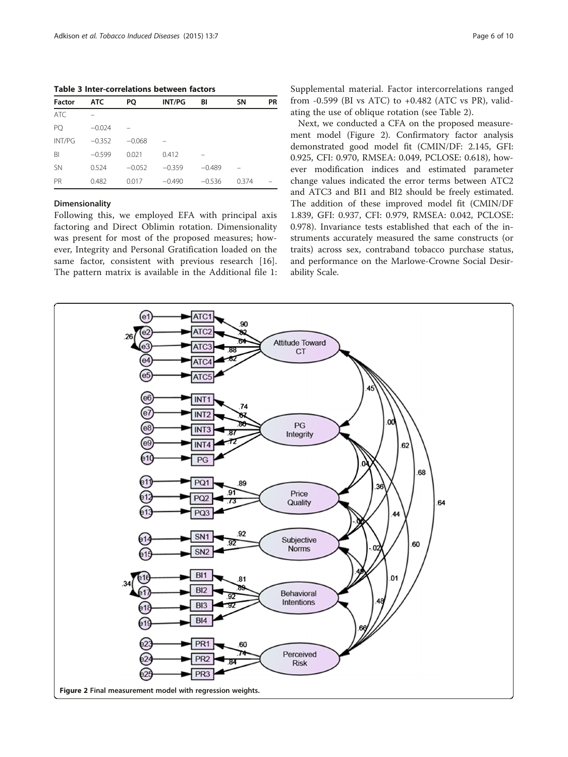<span id="page-5-0"></span>Table 3 Inter-correlations between factors

| Factor     | <b>ATC</b> | PO       | INT/PG   | BI       | SΝ    | <b>PR</b> |
|------------|------------|----------|----------|----------|-------|-----------|
| <b>ATC</b> |            |          |          |          |       |           |
| PQ         | $-0.024$   |          |          |          |       |           |
| INT/PG     | $-0.352$   | $-0.068$ |          |          |       |           |
| BI         | $-0.599$   | 0.021    | 0.412    |          |       |           |
| <b>SN</b>  | 0.524      | $-0.052$ | $-0.359$ | $-0.489$ |       |           |
| <b>PR</b>  | 0.482      | 0.017    | $-0.490$ | $-0.536$ | 0.374 |           |

## **Dimensionality**

Following this, we employed EFA with principal axis factoring and Direct Oblimin rotation. Dimensionality was present for most of the proposed measures; however, Integrity and Personal Gratification loaded on the same factor, consistent with previous research [\[16](#page-8-0)]. The pattern matrix is available in the Additional file [1](#page-8-0): Supplemental material. Factor intercorrelations ranged from -0.599 (BI vs ATC) to +0.482 (ATC vs PR), validating the use of oblique rotation (see Table [2](#page-4-0)).

Next, we conducted a CFA on the proposed measurement model (Figure 2). Confirmatory factor analysis demonstrated good model fit (CMIN/DF: 2.145, GFI: 0.925, CFI: 0.970, RMSEA: 0.049, PCLOSE: 0.618), however modification indices and estimated parameter change values indicated the error terms between ATC2 and ATC3 and BI1 and BI2 should be freely estimated. The addition of these improved model fit (CMIN/DF 1.839, GFI: 0.937, CFI: 0.979, RMSEA: 0.042, PCLOSE: 0.978). Invariance tests established that each of the instruments accurately measured the same constructs (or traits) across sex, contraband tobacco purchase status, and performance on the Marlowe-Crowne Social Desirability Scale.

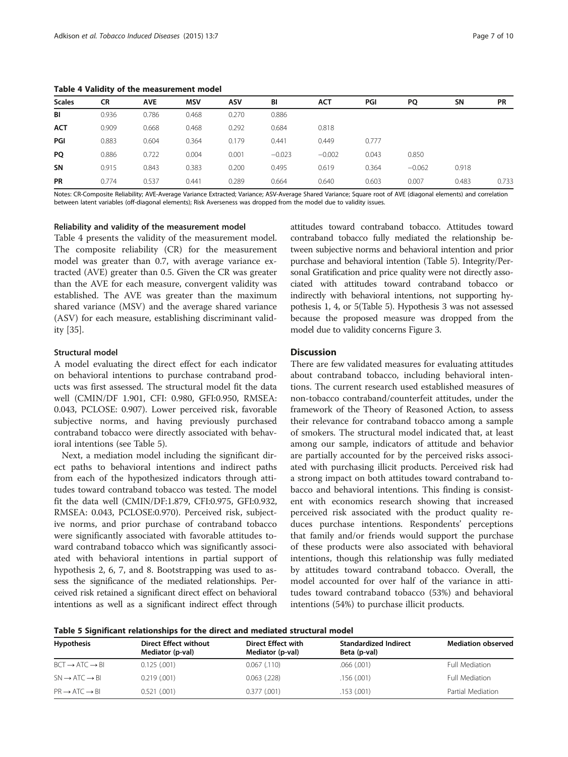Table 4 Validity of the measurement model

| <b>Scales</b> | <b>CR</b> | <b>AVE</b> | <b>MSV</b> | ASV   | BI       | ACT      | PGI   | PQ       | SN    | PR    |
|---------------|-----------|------------|------------|-------|----------|----------|-------|----------|-------|-------|
| BI            | 0.936     | 0.786      | 0.468      | 0.270 | 0.886    |          |       |          |       |       |
| <b>ACT</b>    | 0.909     | 0.668      | 0.468      | 0.292 | 0.684    | 0.818    |       |          |       |       |
| PGI           | 0.883     | 0.604      | 0.364      | 0.179 | 0.441    | 0.449    | 0.777 |          |       |       |
| <b>PQ</b>     | 0.886     | 0.722      | 0.004      | 0.001 | $-0.023$ | $-0.002$ | 0.043 | 0.850    |       |       |
| <b>SN</b>     | 0.915     | 0.843      | 0.383      | 0.200 | 0.495    | 0.619    | 0.364 | $-0.062$ | 0.918 |       |
| <b>PR</b>     | 0.774     | 0.537      | 0.441      | 0.289 | 0.664    | 0.640    | 0.603 | 0.007    | 0.483 | 0.733 |

Notes: CR-Composite Reliability; AVE-Average Variance Extracted; Variance; ASV-Average Shared Variance; Square root of AVE (diagonal elements) and correlation between latent variables (off-diagonal elements); Risk Averseness was dropped from the model due to validity issues.

#### Reliability and validity of the measurement model

Table 4 presents the validity of the measurement model. The composite reliability (CR) for the measurement model was greater than 0.7, with average variance extracted (AVE) greater than 0.5. Given the CR was greater than the AVE for each measure, convergent validity was established. The AVE was greater than the maximum shared variance (MSV) and the average shared variance (ASV) for each measure, establishing discriminant validity [[35\]](#page-9-0).

#### Structural model

A model evaluating the direct effect for each indicator on behavioral intentions to purchase contraband products was first assessed. The structural model fit the data well (CMIN/DF 1.901, CFI: 0.980, GFI:0.950, RMSEA: 0.043, PCLOSE: 0.907). Lower perceived risk, favorable subjective norms, and having previously purchased contraband tobacco were directly associated with behavioral intentions (see Table 5).

Next, a mediation model including the significant direct paths to behavioral intentions and indirect paths from each of the hypothesized indicators through attitudes toward contraband tobacco was tested. The model fit the data well (CMIN/DF:1.879, CFI:0.975, GFI:0.932, RMSEA: 0.043, PCLOSE:0.970). Perceived risk, subjective norms, and prior purchase of contraband tobacco were significantly associated with favorable attitudes toward contraband tobacco which was significantly associated with behavioral intentions in partial support of hypothesis 2, 6, 7, and 8. Bootstrapping was used to assess the significance of the mediated relationships. Perceived risk retained a significant direct effect on behavioral intentions as well as a significant indirect effect through attitudes toward contraband tobacco. Attitudes toward contraband tobacco fully mediated the relationship between subjective norms and behavioral intention and prior purchase and behavioral intention (Table 5). Integrity/Personal Gratification and price quality were not directly associated with attitudes toward contraband tobacco or indirectly with behavioral intentions, not supporting hypothesis 1, 4, or 5(Table 5). Hypothesis 3 was not assessed because the proposed measure was dropped from the model due to validity concerns Figure [3.](#page-7-0)

# Discussion

There are few validated measures for evaluating attitudes about contraband tobacco, including behavioral intentions. The current research used established measures of non-tobacco contraband/counterfeit attitudes, under the framework of the Theory of Reasoned Action, to assess their relevance for contraband tobacco among a sample of smokers. The structural model indicated that, at least among our sample, indicators of attitude and behavior are partially accounted for by the perceived risks associated with purchasing illicit products. Perceived risk had a strong impact on both attitudes toward contraband tobacco and behavioral intentions. This finding is consistent with economics research showing that increased perceived risk associated with the product quality reduces purchase intentions. Respondents' perceptions that family and/or friends would support the purchase of these products were also associated with behavioral intentions, though this relationship was fully mediated by attitudes toward contraband tobacco. Overall, the model accounted for over half of the variance in attitudes toward contraband tobacco (53%) and behavioral intentions (54%) to purchase illicit products.

Table 5 Significant relationships for the direct and mediated structural model

| <b>Hypothesis</b>                                         | Direct Effect without<br>Mediator (p-val) | Direct Effect with<br>Mediator (p-val) | <b>Standardized Indirect</b><br>Beta (p-val) | <b>Mediation observed</b> |  |
|-----------------------------------------------------------|-------------------------------------------|----------------------------------------|----------------------------------------------|---------------------------|--|
| $\text{BCT} \rightarrow \text{ATC} \rightarrow \text{BI}$ | 0.125(.001)                               | $0.067$ (.110)                         | .066(.001)                                   | <b>Full Mediation</b>     |  |
| $SN \rightarrow$ ATC $\rightarrow$ BL                     | 0.219(0.001)                              | $0.063$ (.228)                         | .156(.001)                                   | <b>Full Mediation</b>     |  |
| $PR \rightarrow ATC \rightarrow BI$                       | $0.521$ $(.001)$                          | 0.377(0.001)                           | .153 (.001)                                  | Partial Mediation         |  |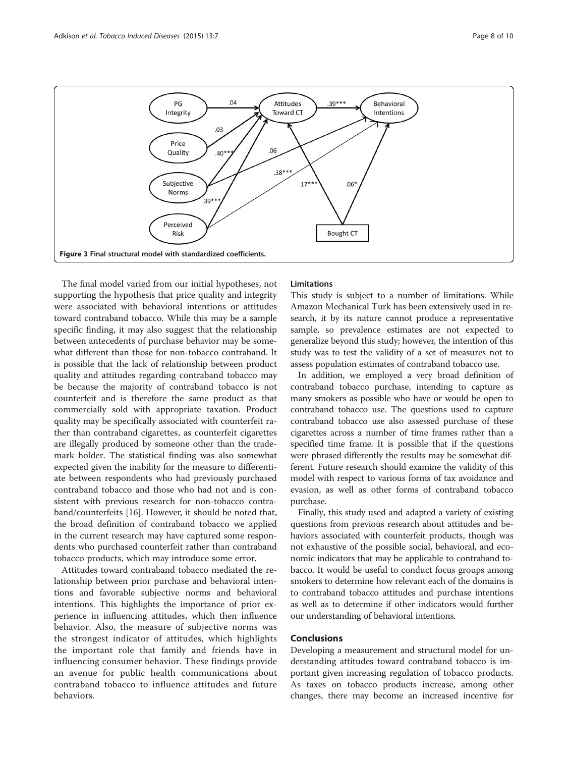

<span id="page-7-0"></span>

The final model varied from our initial hypotheses, not supporting the hypothesis that price quality and integrity were associated with behavioral intentions or attitudes toward contraband tobacco. While this may be a sample specific finding, it may also suggest that the relationship between antecedents of purchase behavior may be somewhat different than those for non-tobacco contraband. It is possible that the lack of relationship between product quality and attitudes regarding contraband tobacco may be because the majority of contraband tobacco is not counterfeit and is therefore the same product as that commercially sold with appropriate taxation. Product quality may be specifically associated with counterfeit rather than contraband cigarettes, as counterfeit cigarettes are illegally produced by someone other than the trademark holder. The statistical finding was also somewhat expected given the inability for the measure to differentiate between respondents who had previously purchased contraband tobacco and those who had not and is consistent with previous research for non-tobacco contraband/counterfeits [[16\]](#page-8-0). However, it should be noted that, the broad definition of contraband tobacco we applied in the current research may have captured some respondents who purchased counterfeit rather than contraband tobacco products, which may introduce some error.

Attitudes toward contraband tobacco mediated the relationship between prior purchase and behavioral intentions and favorable subjective norms and behavioral intentions. This highlights the importance of prior experience in influencing attitudes, which then influence behavior. Also, the measure of subjective norms was the strongest indicator of attitudes, which highlights the important role that family and friends have in influencing consumer behavior. These findings provide an avenue for public health communications about contraband tobacco to influence attitudes and future behaviors.

## Limitations

This study is subject to a number of limitations. While Amazon Mechanical Turk has been extensively used in research, it by its nature cannot produce a representative sample, so prevalence estimates are not expected to generalize beyond this study; however, the intention of this study was to test the validity of a set of measures not to assess population estimates of contraband tobacco use.

In addition, we employed a very broad definition of contraband tobacco purchase, intending to capture as many smokers as possible who have or would be open to contraband tobacco use. The questions used to capture contraband tobacco use also assessed purchase of these cigarettes across a number of time frames rather than a specified time frame. It is possible that if the questions were phrased differently the results may be somewhat different. Future research should examine the validity of this model with respect to various forms of tax avoidance and evasion, as well as other forms of contraband tobacco purchase.

Finally, this study used and adapted a variety of existing questions from previous research about attitudes and behaviors associated with counterfeit products, though was not exhaustive of the possible social, behavioral, and economic indicators that may be applicable to contraband tobacco. It would be useful to conduct focus groups among smokers to determine how relevant each of the domains is to contraband tobacco attitudes and purchase intentions as well as to determine if other indicators would further our understanding of behavioral intentions.

## **Conclusions**

Developing a measurement and structural model for understanding attitudes toward contraband tobacco is important given increasing regulation of tobacco products. As taxes on tobacco products increase, among other changes, there may become an increased incentive for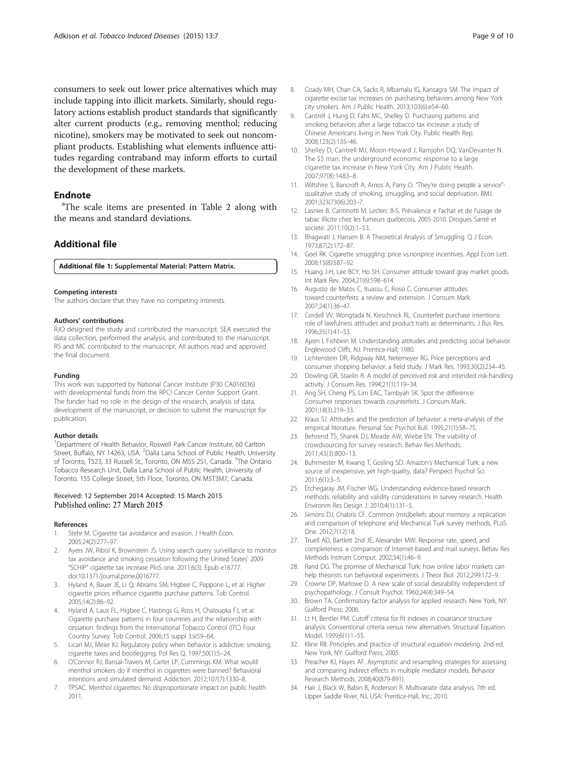<span id="page-8-0"></span>consumers to seek out lower price alternatives which may include tapping into illicit markets. Similarly, should regulatory actions establish product standards that significantly alter current products (e.g., removing menthol; reducing nicotine), smokers may be motivated to seek out noncompliant products. Establishing what elements influence attitudes regarding contraband may inform efforts to curtail the development of these markets.

# **Endnote**

The scale items are presented in Table [2](#page-4-0) along with the means and standard deviations.

## Additional file

[Additional file 1:](http://www.tobaccoinduceddiseases.com/content/supplementary/s12971-015-0032-0-s1.docx) Supplemental Material: Pattern Matrix.

#### Competing interests

The authors declare that they have no competing interests.

#### Authors' contributions

RJO designed the study and contributed the manuscript. SEA executed the data collection, performed the analysis, and contributed to the manuscript. RS and MC contributed to the manuscript. All authors read and approved the final document.

#### Funding

This work was supported by National Cancer Institute (P30 CA016036) with developmental funds from the RPCI Cancer Center Support Grant. The funder had no role in the design of the research, analysis of data, development of the manuscript, or decision to submit the manuscript for publication.

#### Author details

<sup>1</sup>Department of Health Behavior, Roswell Park Cancer Institute, 60 Carlton Street, Buffalo, NY 14263, USA. <sup>2</sup>Dalla Lana School of Public Health, University of Toronto, T523, 33 Russell St., Toronto, ON M5S 2S1, Canada. <sup>3</sup>The Ontario Tobacco Research Unit, Dalla Lana School of Public Health, University of Toronto, 155 College Street, 5th Floor, Toronto, ON M5T3M7, Canada.

#### Received: 12 September 2014 Accepted: 15 March 2015 Published online: 27 March 2015

#### References

- Stehr M. Cigarette tax avoidance and evasion. J Health Econ. 2005;24(2):277–97.
- Ayers JW, Ribisl K, Brownstein JS. Using search query surveillance to monitor tax avoidance and smoking cessation following the United States' 2009 "SCHIP" cigarette tax increase PloS one. 2011;6(3). Epub e16777. doi:10.1371/journal.pone.0016777.
- Hyland A, Bauer JE, Li Q, Abrams SM, Higbee C, Peppone L, et al. Higher cigarette prices influence cigarette purchase patterns. Tob Control. 2005;14(2):86–92.
- 4. Hyland A, Laux FL, Higbee C, Hastings G, Ross H, Chaloupka FJ, et al. Cigarette purchase patterns in four countries and the relationship with cessation: findings from the International Tobacco Control (ITC) Four Country Survey. Tob Control. 2006;15 suppl 3:iii59–64.
- 5. Licari MJ, Meier KJ. Regulatory policy when behavior is addictive: smoking, cigarette taxes and bootlegging. Pol Res Q. 1997;50(1):5–24.
- 6. O'Connor RJ, Bansal-Travers M, Carter LP, Cummings KM. What would menthol smokers do if menthol in cigarettes were banned? Behavioral intentions and simulated demand. Addiction. 2012;107(7):1330–8.
- 7. TPSAC. Menthol cigarettes: No disproportionate impact on public health 2011.
- 8. Coady MH, Chan CA, Sacks R, Mbamalu IG, Kansagra SM. The impact of cigarette excise tax increases on purchasing behaviors among New York city smokers. Am J Public Health. 2013;103(6):e54–60.
- 9. Cantrell J, Hung D, Fahs MC, Shelley D. Purchasing patterns and smoking behaviors after a large tobacco tax increase: a study of Chinese Americans living in New York City. Public Health Rep. 2008;123(2):135–46.
- 10. Shelley D, Cantrell MJ, Moon-Howard J, Ramjohn DQ, VanDevanter N. The \$5 man: the underground economic response to a large cigarette tax increase in New York City. Am J Public Health. 2007;97(8):1483–8.
- 11. Wiltshire S, Bancroft A, Amos A, Parry O. "They're doing people a service" qualitative study of smoking, smuggling, and social deprivation. BMJ. 2001;323(7306):203–7.
- 12. Lasnier B, Cantinotti M, Leclerc B-S. Prévalence e l'achat et de l'usage de tabac illicite chez les fumeurs québecois, 2005-2010. Drogues Santé et societé. 2011;10(2):1–53.
- 13. Bhagwati J, Hansen B. A Theoretical Analysis of Smuggling. Q J Econ. 1973;87(2):172–87.
- 14. Goel RK. Cigarette smuggling: price vs.nonprice incentives. Appl Econ Lett. 2008;15(8):587–92.
- 15. Huang J-H, Lee BCY, Ho SH. Consumer attitude toward gray market goods. Int Mark Rev. 2004;21(6):598–614.
- 16. Augusto de Matos C, Ituassu C, Rossi C. Consumer attitudes toward counterfeits: a review and extension. J Consum Mark. 2007;24(1):36–47.
- 17. Cordell VV, Wongtada N, Kieschnick RL. Counterfeit purchase intentions: role of lawfulness attitudes and product traits as determinants. J Bus Res. 1996;35(1):41–53.
- 18. Ajzen I, Fishbein M. Understanding attitudes and predicting social behaivor. Englewood Cliffs, NJ: Prentice-Hall; 1980.
- 19. Lichtenstein DR, Ridgway NM, Netemeyer RG. Price perceptions and consumer shopping behavior: a field study. J Mark Res. 1993;30(2):234–45.
- 20. Dowling GR, Staelin R. A model of perceived risk and intended risk-handling activity. J Consum Res. 1994;21(1):119–34.
- 21. Ang SH, Cheng PS, Lim EAC, Tambyah SK. Spot the difference: Consumer responses towards counterfeits. J Consum Mark. 2001;18(3):219–33.
- 22. Kraus SJ. Attitudes and the prediction of behavior: a meta-analysis of the empirical literature. Personal Soc Psychol Bull. 1995;21(1):58–75.
- 23. Behrend TS, Sharek DJ, Meade AW, Wiebe EN. The viability of crowdsourcing for survey research. Behav Res Methods. 2011;43(3):800–13.
- 24. Buhrmester M, Kwang T, Gosling SD. Amazon's Mechanical Turk: a new source of inexpensive, yet high-quality, data? Perspect Psychol Sci. 2011;6(1):3–5.
- 25. Etchegaray JM, Fischer WG. Understanding evidence-based research methods: reliability and validity considerations in survey research. Health Environm Res Design J. 2010;4(1):131–5.
- 26. Simons DJ, Chabris CF. Common (mis)beliefs about memory: a replication and comparison of telephone and Mechanical Turk survey methods. PLoS One. 2012;7(12):18.
- 27. Truell AD, Bartlett 2nd JE, Alexander MW. Response rate, speed, and completeness: a comparison of Internet-based and mail surveys. Behav Res Methods Instrum Comput. 2002;34(1):46–9.
- 28. Rand DG. The promise of Mechanical Turk: how online labor markets can help theorists run behavioral experiments. J Theor Biol. 2012;299:172–9.
- 29. Crowne DP, Marlowe D. A new scale of social desirability independent of psychopathology. J Consult Psychol. 1960;24(4):349–54.
- 30. Brown TA. Confirmatory factor analysis for applied research. New York, NY: Guilford Press; 2006.
- 31. Lt H, Bentler PM. Cutoff criteria for fit indexes in covariance structure analysis: Conventional criteria versus new alternatives. Structural Equation Model. 1999;6(1):1–55.
- 32. Kline RB. Principles and practice of structural equation modeling. 2nd ed. New York, NY: Guilford Press; 2005.
- 33. Preacher KJ, Hayes AF. Asymptotic and resampling strategies for assessing and comparing indirect effects in multiple mediator models. Behavior Research Methods. 2008;40(879-891).
- 34. Hair J, Black W, Babin B, Anderson R. Multivariate data analysis. 7th ed. Upper Saddle River, NJ, USA: Prentice-Hall, Inc.; 2010.